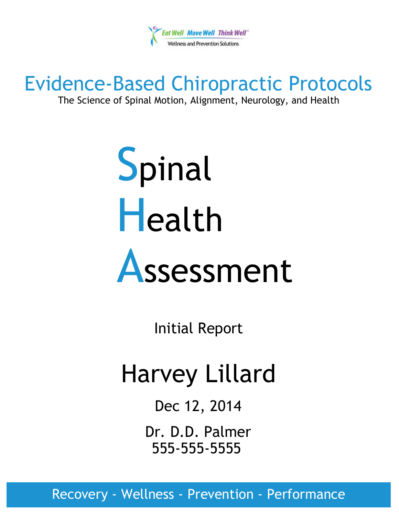

Evidence-Based Chiropractic Protocols The Science of Spinal Motion, Alignment, Neurology, and Health

# **Spinal** Health Assessment

Initial Report

## Harvey Lillard

Dec 12, 2014

Dr. D.D. Palmer 555-555-5555

Recovery - Wellness - Prevention - Performance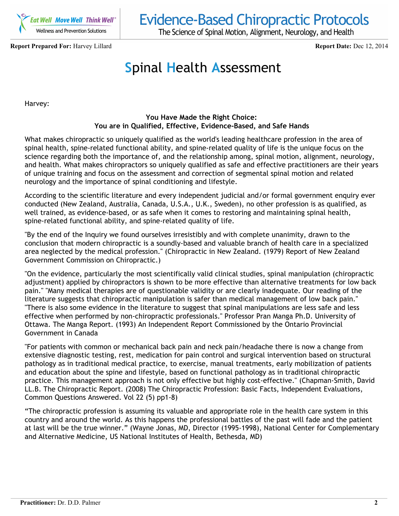

#### **Report Prepared For:** Harvey Lillard **Report Date:** Dec 12, 2014

**Evidence-Based Chiropractic Protocols** 

The Science of Spinal Motion, Alignment, Neurology, and Health

## **S**pinal **H**ealth **A**ssessment

Harvey:

#### **You Have Made the Right Choice: You are in Qualified, Effective, Evidence-Based, and Safe Hands**

What makes chiropractic so uniquely qualified as the world's leading healthcare profession in the area of spinal health, spine-related functional ability, and spine-related quality of life is the unique focus on the science regarding both the importance of, and the relationship among, spinal motion, alignment, neurology, and health. What makes chiropractors so uniquely qualified as safe and effective practitioners are their years of unique training and focus on the assessment and correction of segmental spinal motion and related neurology and the importance of spinal conditioning and lifestyle.

According to the scientific literature and every independent judicial and/or formal government enquiry ever conducted (New Zealand, Australia, Canada, U.S.A., U.K., Sweden), no other profession is as qualified, as well trained, as evidence-based, or as safe when it comes to restoring and maintaining spinal health, spine-related functional ability, and spine-related quality of life.

"By the end of the Inquiry we found ourselves irresistibly and with complete unanimity, drawn to the conclusion that modern chiropractic is a soundly-based and valuable branch of health care in a specialized area neglected by the medical profession." (Chiropractic in New Zealand. (1979) Report of New Zealand Government Commission on Chiropractic.)

"On the evidence, particularly the most scientifically valid clinical studies, spinal manipulation (chiropractic adjustment) applied by chiropractors is shown to be more effective than alternative treatments for low back pain." "Many medical therapies are of questionable validity or are clearly inadequate. Our reading of the literature suggests that chiropractic manipulation is safer than medical management of low back pain." "There is also some evidence in the literature to suggest that spinal manipulations are less safe and less effective when performed by non-chiropractic professionals." Professor Pran Manga Ph.D. University of Ottawa. The Manga Report. (1993) An Independent Report Commissioned by the Ontario Provincial Government in Canada

"For patients with common or mechanical back pain and neck pain/headache there is now a change from extensive diagnostic testing, rest, medication for pain control and surgical intervention based on structural pathology as in traditional medical practice, to exercise, manual treatments, early mobilization of patients and education about the spine and lifestyle, based on functional pathology as in traditional chiropractic practice. This management approach is not only effective but highly cost-effective." (Chapman-Smith, David LL.B. The Chiropractic Report. (2008) The Chiropractic Profession: Basic Facts, Independent Evaluations, Common Questions Answered. Vol 22 (5) pp1-8)

"The chiropractic profession is assuming its valuable and appropriate role in the health care system in this country and around the world. As this happens the professional battles of the past will fade and the patient at last will be the true winner." (Wayne Jonas, MD, Director (1995-1998), National Center for Complementary and Alternative Medicine, US National Institutes of Health, Bethesda, MD)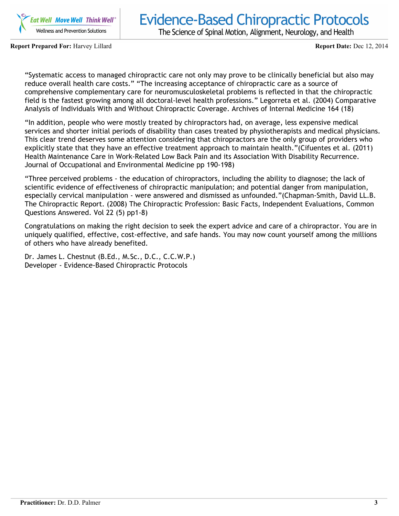

The Science of Spinal Motion, Alignment, Neurology, and Health

**Report Prepared For:** Harvey Lillard **Report Date:** Dec 12, 2014

"Systematic access to managed chiropractic care not only may prove to be clinically beneficial but also may reduce overall health care costs." "The increasing acceptance of chiropractic care as a source of comprehensive complementary care for neuromusculoskeletal problems is reflected in that the chiropractic field is the fastest growing among all doctoral-level health professions." Legorreta et al. (2004) Comparative Analysis of Individuals With and Without Chiropractic Coverage. Archives of Internal Medicine 164 (18)

"In addition, people who were mostly treated by chiropractors had, on average, less expensive medical services and shorter initial periods of disability than cases treated by physiotherapists and medical physicians. This clear trend deserves some attention considering that chiropractors are the only group of providers who explicitly state that they have an effective treatment approach to maintain health."(Cifuentes et al. (2011) Health Maintenance Care in Work-Related Low Back Pain and its Association With Disability Recurrence. Journal of Occupational and Environmental Medicine pp 190-198)

"Three perceived problems - the education of chiropractors, including the ability to diagnose; the lack of scientific evidence of effectiveness of chiropractic manipulation; and potential danger from manipulation, especially cervical manipulation - were answered and dismissed as unfounded."(Chapman-Smith, David LL.B. The Chiropractic Report. (2008) The Chiropractic Profession: Basic Facts, Independent Evaluations, Common Questions Answered. Vol 22 (5) pp1-8)

Congratulations on making the right decision to seek the expert advice and care of a chiropractor. You are in uniquely qualified, effective, cost-effective, and safe hands. You may now count yourself among the millions of others who have already benefited.

Dr. James L. Chestnut (B.Ed., M.Sc., D.C., C.C.W.P.) Developer - Evidence-Based Chiropractic Protocols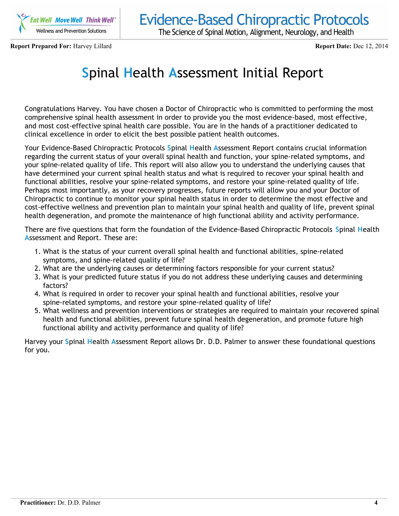

The Science of Spinal Motion, Alignment, Neurology, and Health

**Report Prepared For:** Harvey Lillard **Report Date:** Dec 12, 2014

## **S**pinal **H**ealth **A**ssessment Initial Report

Congratulations Harvey. You have chosen a Doctor of Chiropractic who is committed to performing the most comprehensive spinal health assessment in order to provide you the most evidence-based, most effective, and most cost-effective spinal health care possible. You are in the hands of a practitioner dedicated to clinical excellence in order to elicit the best possible patient health outcomes.

Your Evidence-Based Chiropractic Protocols **S**pinal **H**ealth **A**ssessment Report contains crucial information regarding the current status of your overall spinal health and function, your spine-related symptoms, and your spine-related quality of life. This report will also allow you to understand the underlying causes that have determined your current spinal health status and what is required to recover your spinal health and functional abilities, resolve your spine-related symptoms, and restore your spine-related quality of life. Perhaps most importantly, as your recovery progresses, future reports will allow you and your Doctor of Chiropractic to continue to monitor your spinal health status in order to determine the most effective and cost-effective wellness and prevention plan to maintain your spinal health and quality of life, prevent spinal health degeneration, and promote the maintenance of high functional ability and activity performance.

There are five questions that form the foundation of the Evidence-Based Chiropractic Protocols **S**pinal **H**ealth **A**ssessment and Report. These are:

- What is the status of your current overall spinal health and functional abilities, spine-related 1. symptoms, and spine-related quality of life?
- 2. What are the underlying causes or determining factors responsible for your current status?
- 3. What is your predicted future status if you do not address these underlying causes and determining factors?
- What is required in order to recover your spinal health and functional abilities, resolve your 4. spine-related symptoms, and restore your spine-related quality of life?
- 5. What wellness and prevention interventions or strategies are required to maintain your recovered spinal health and functional abilities, prevent future spinal health degeneration, and promote future high functional ability and activity performance and quality of life?

Harvey your **S**pinal **H**ealth **A**ssessment Report allows Dr. D.D. Palmer to answer these foundational questions for you.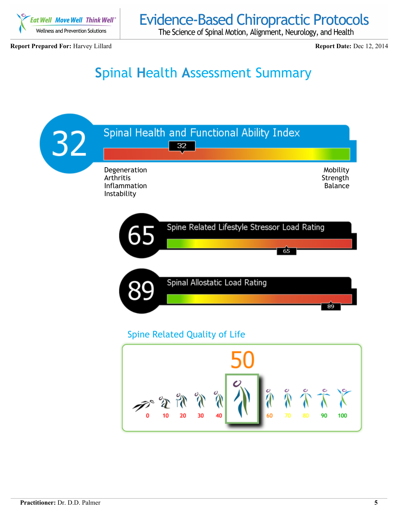

The Science of Spinal Motion, Alignment, Neurology, and Health

**Report Prepared For:** Harvey Lillard **Report Date:** Dec 12, 2014

## **S**pinal **H**ealth **A**ssessment Summary

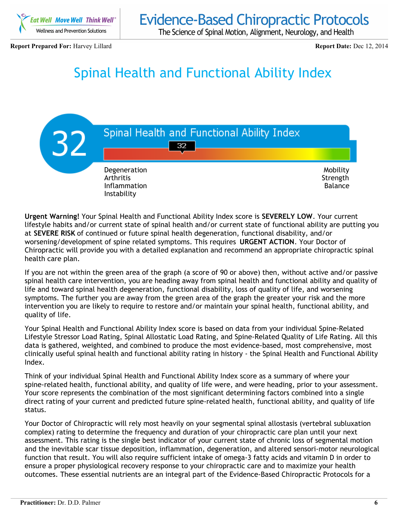

The Science of Spinal Motion, Alignment, Neurology, and Health

**Report Prepared For:** Harvey Lillard **Report Date:** Dec 12, 2014

## Spinal Health and Functional Ability Index



**Urgent Warning!** Your Spinal Health and Functional Ability Index score is **SEVERELY LOW**. Your current lifestyle habits and/or current state of spinal health and/or current state of functional ability are putting you at **SEVERE RISK** of continued or future spinal health degeneration, functional disability, and/or worsening/development of spine related symptoms. This requires **URGENT ACTION**. Your Doctor of Chiropractic will provide you with a detailed explanation and recommend an appropriate chiropractic spinal health care plan.

If you are not within the green area of the graph (a score of 90 or above) then, without active and/or passive spinal health care intervention, you are heading away from spinal health and functional ability and quality of life and toward spinal health degeneration, functional disability, loss of quality of life, and worsening symptoms. The further you are away from the green area of the graph the greater your risk and the more intervention you are likely to require to restore and/or maintain your spinal health, functional ability, and quality of life.

Your Spinal Health and Functional Ability Index score is based on data from your individual Spine-Related Lifestyle Stressor Load Rating, Spinal Allostatic Load Rating, and Spine-Related Quality of Life Rating. All this data is gathered, weighted, and combined to produce the most evidence-based, most comprehensive, most clinically useful spinal health and functional ability rating in history - the Spinal Health and Functional Ability Index.

Think of your individual Spinal Health and Functional Ability Index score as a summary of where your spine-related health, functional ability, and quality of life were, and were heading, prior to your assessment. Your score represents the combination of the most significant determining factors combined into a single direct rating of your current and predicted future spine-related health, functional ability, and quality of life status.

Your Doctor of Chiropractic will rely most heavily on your segmental spinal allostasis (vertebral subluxation complex) rating to determine the frequency and duration of your chiropractic care plan until your next assessment. This rating is the single best indicator of your current state of chronic loss of segmental motion and the inevitable scar tissue deposition, inflammation, degeneration, and altered sensori-motor neurological function that result. You will also require sufficient intake of omega-3 fatty acids and vitamin D in order to ensure a proper physiological recovery response to your chiropractic care and to maximize your health outcomes. These essential nutrients are an integral part of the Evidence-Based Chiropractic Protocols for a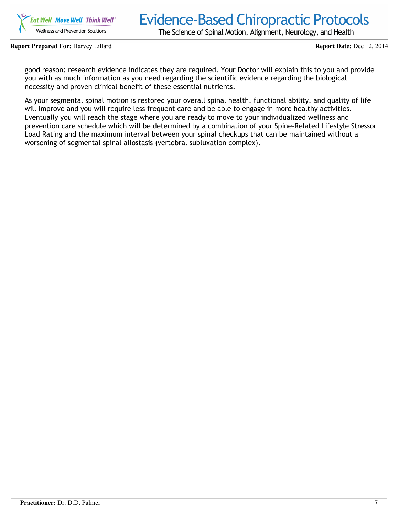

The Science of Spinal Motion, Alignment, Neurology, and Health

**Report Prepared For:** Harvey Lillard **Report Date:** Dec 12, 2014

good reason: research evidence indicates they are required. Your Doctor will explain this to you and provide you with as much information as you need regarding the scientific evidence regarding the biological necessity and proven clinical benefit of these essential nutrients.

As your segmental spinal motion is restored your overall spinal health, functional ability, and quality of life will improve and you will require less frequent care and be able to engage in more healthy activities. Eventually you will reach the stage where you are ready to move to your individualized wellness and prevention care schedule which will be determined by a combination of your Spine-Related Lifestyle Stressor Load Rating and the maximum interval between your spinal checkups that can be maintained without a worsening of segmental spinal allostasis (vertebral subluxation complex).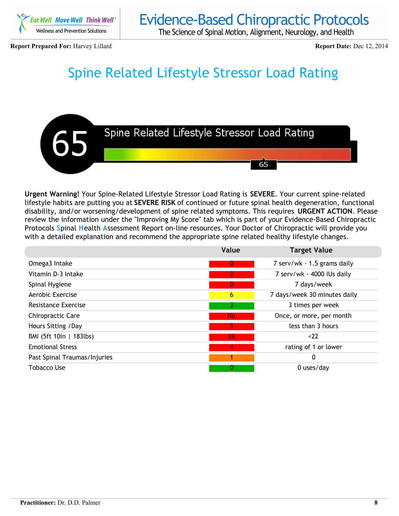

The Science of Spinal Motion, Alignment, Neurology, and Health

**Report Prepared For:** Harvey Lillard **Report Date:** Dec 12, 2014

## Spine Related Lifestyle Stressor Load Rating



**Urgent Warning!** Your Spine-Related Lifestyle Stressor Load Rating is **SEVERE**. Your current spine-related lifestyle habits are putting you at **SEVERE RISK** of continued or future spinal health degeneration, functional disability, and/or worsening/development of spine related symptoms. This requires **URGENT ACTION**. Please review the information under the "Improving My Score" tab which is part of your Evidence-Based Chiropractic Protocols **S**pinal **H**ealth **A**ssessment Report on-line resources. Your Doctor of Chiropractic will provide you with a detailed explanation and recommend the appropriate spine related healthy lifestyle changes.

|                              | Value | <b>Target Value</b>          |
|------------------------------|-------|------------------------------|
| Omega3 Intake                | 0     | 7 serv/wk - 1.5 grams daily  |
| Vitamin D-3 Intake           |       | 7 serv/wk - 4000 IUs daily   |
| Spinal Hygiene               |       | 7 days/week                  |
| Aerobic Exercise             | 6     | 7 days/week 30 minutes daily |
| Resistance Exercise          | 3     | 3 times per week             |
| <b>Chiropractic Care</b>     | No.   | Once, or more, per month     |
| Hours Sitting / Day          |       | less than 3 hours            |
| BMI (5ft 10in   183lbs)      | 26    | < 22                         |
| <b>Emotional Stress</b>      | 4     | rating of 1 or lower         |
| Past Spinal Traumas/Injuries |       | 0                            |
| <b>Tobacco Use</b>           | 0     | $0$ uses/day                 |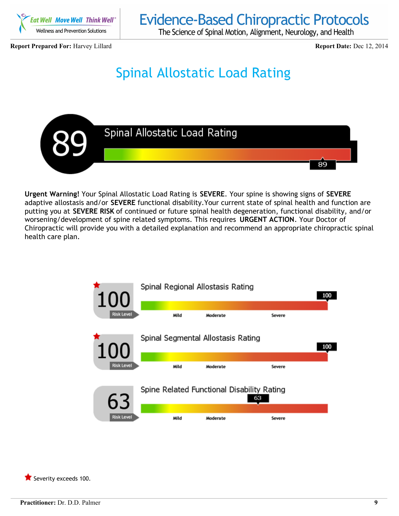

The Science of Spinal Motion, Alignment, Neurology, and Health

**Report Prepared For:** Harvey Lillard **Report Date:** Dec 12, 2014

## Spinal Allostatic Load Rating



**Urgent Warning!** Your Spinal Allostatic Load Rating is **SEVERE**. Your spine is showing signs of **SEVERE** adaptive allostasis and/or **SEVERE** functional disability.Your current state of spinal health and function are putting you at **SEVERE RISK** of continued or future spinal health degeneration, functional disability, and/or worsening/development of spine related symptoms. This requires **URGENT ACTION**. Your Doctor of Chiropractic will provide you with a detailed explanation and recommend an appropriate chiropractic spinal health care plan.



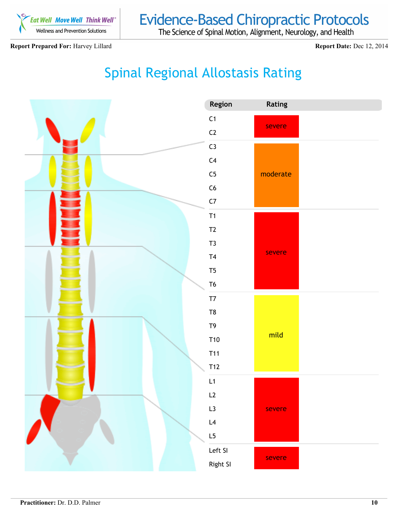

## Evidence-Based Chiropractic Protocols<br>The Science of Spinal Motion, Alignment, Neurology, and Health

**Report Prepared For:** Harvey Lillard **Report Date:** Dec 12, 2014

## Spinal Regional Allostasis Rating

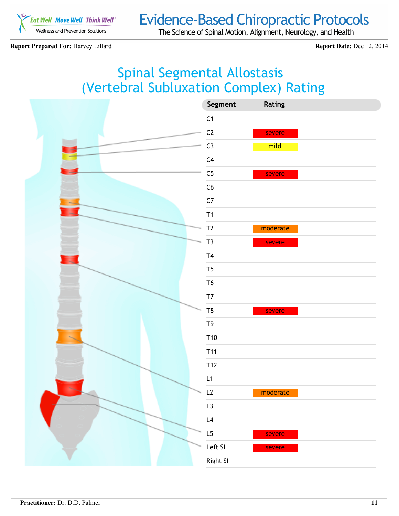

The Science of Spinal Motion, Alignment, Neurology, and Health

**Report Prepared For:** Harvey Lillard **Report Date:** Dec 12, 2014

### Spinal Segmental Allostasis (Vertebral Subluxation Complex) Rating

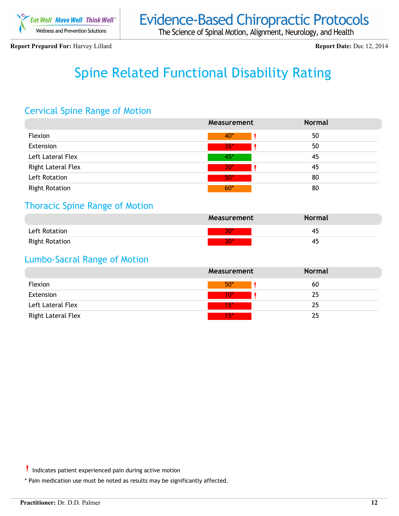

The Science of Spinal Motion, Alignment, Neurology, and Health

**Report Prepared For:** Harvey Lillard **Report Date:** Dec 12, 2014

## Spine Related Functional Disability Rating

#### Cervical Spine Range of Motion

|                           | Measurement  | <b>Normal</b> |
|---------------------------|--------------|---------------|
| Flexion                   | $40^{\circ}$ | 50            |
| Extension                 | $35^*$       | 50            |
| Left Lateral Flex         | <b>457</b>   | 45            |
| <b>Right Lateral Flex</b> | 30*          | 45            |
| Left Rotation             | 50*          | 80            |
| <b>Right Rotation</b>     | $60*$        | 80            |

#### Thoracic Spine Range of Motion

|                       | <b>Measurement</b> | <b>Normal</b> |
|-----------------------|--------------------|---------------|
| Left Rotation         |                    | 4             |
| <b>Right Rotation</b> |                    | 4             |

#### Lumbo-Sacral Range of Motion

|                           | Measurement | <b>Normal</b> |
|---------------------------|-------------|---------------|
| <b>Flexion</b>            | $50*$       | 60            |
| Extension                 | $10^*$      | 25            |
| Left Lateral Flex         | 15*         | 25            |
| <b>Right Lateral Flex</b> | 15*         | つら            |

\* Pain medication use must be noted as results may be significantly affected.

Indicates patient experienced pain during active motion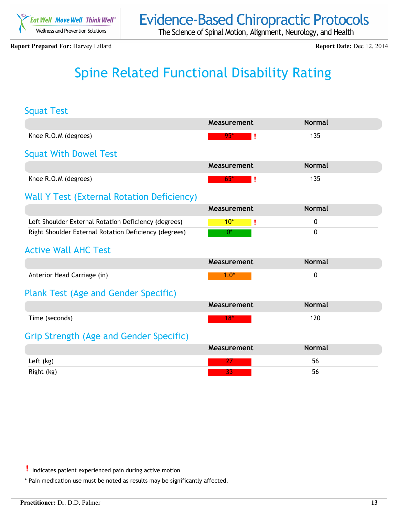

The Science of Spinal Motion, Alignment, Neurology, and Health

**Report Prepared For:** Harvey Lillard **Report Date:** Dec 12, 2014

## Spine Related Functional Disability Rating

#### Squat Test

|                                                       | Measurement | <b>Normal</b> |  |
|-------------------------------------------------------|-------------|---------------|--|
| Knee R.O.M (degrees)                                  | $95*$<br>ı  | 135           |  |
| <b>Squat With Dowel Test</b>                          |             |               |  |
|                                                       | Measurement | <b>Normal</b> |  |
| Knee R.O.M (degrees)                                  | Ţ<br>$65^*$ | 135           |  |
| <b>Wall Y Test (External Rotation Deficiency)</b>     |             |               |  |
|                                                       | Measurement | <b>Normal</b> |  |
| Left Shoulder External Rotation Deficiency (degrees)  | $10*$<br>ı  | 0             |  |
| Right Shoulder External Rotation Deficiency (degrees) | $0^*$       | 0             |  |
| <b>Active Wall AHC Test</b>                           |             |               |  |
|                                                       | Measurement | <b>Normal</b> |  |
| Anterior Head Carriage (in)                           | $1.0*$      | $\mathbf 0$   |  |
| Plank Test (Age and Gender Specific)                  |             |               |  |
|                                                       | Measurement | <b>Normal</b> |  |
| Time (seconds)                                        | $18*$       | 120           |  |
| Grip Strength (Age and Gender Specific)               |             |               |  |
|                                                       | Measurement | <b>Normal</b> |  |
| Left (kg)                                             | 27          | 56            |  |
| Right (kg)                                            |             | 56            |  |

Indicates patient experienced pain during active motion

\* Pain medication use must be noted as results may be significantly affected.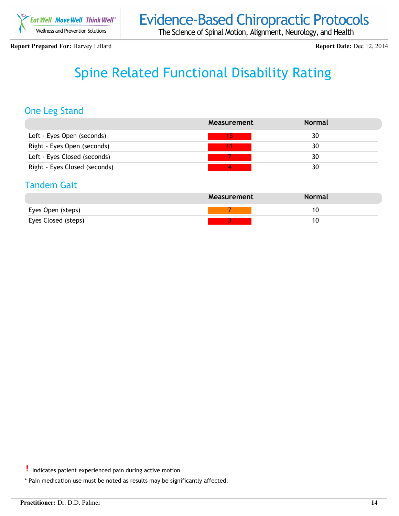

The Science of Spinal Motion, Alignment, Neurology, and Health

**Report Prepared For:** Harvey Lillard **Report Date:** Dec 12, 2014

## Spine Related Functional Disability Rating

#### One Leg Stand

|                               | <b>Measurement</b> | <b>Normal</b> |
|-------------------------------|--------------------|---------------|
| Left - Eyes Open (seconds)    |                    | 30            |
| Right - Eyes Open (seconds)   |                    | 30            |
| Left - Eyes Closed (seconds)  |                    | 30            |
| Right - Eyes Closed (seconds) |                    | 30            |

#### Tandem Gait

|                     | <b>Measurement</b> | <b>Normal</b> |
|---------------------|--------------------|---------------|
| Eyes Open (steps)   |                    |               |
| Eyes Closed (steps) |                    |               |

- Indicates patient experienced pain during active motion
- \* Pain medication use must be noted as results may be significantly affected.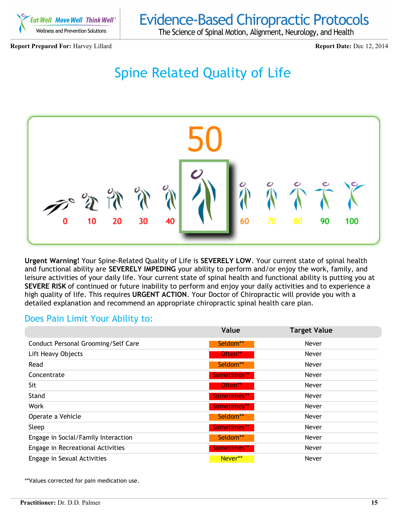

The Science of Spinal Motion, Alignment, Neurology, and Health

**Report Prepared For:** Harvey Lillard **Report Date:** Dec 12, 2014

## Spine Related Quality of Life



**Urgent Warning!** Your Spine-Related Quality of Life is **SEVERELY LOW**. Your current state of spinal health and functional ability are **SEVERELY IMPEDING** your ability to perform and/or enjoy the work, family, and leisure activities of your daily life. Your current state of spinal health and functional ability is putting you at **SEVERE RISK** of continued or future inability to perform and enjoy your daily activities and to experience a high quality of life. This requires **URGENT ACTION**. Your Doctor of Chiropractic will provide you with a detailed explanation and recommend an appropriate chiropractic spinal health care plan.

#### Does Pain Limit Your Ability to:

|                                     | Value       | <b>Target Value</b> |
|-------------------------------------|-------------|---------------------|
| Conduct Personal Grooming/Self Care | Seldom**    | Never               |
| Lift Heavy Objects                  | Often**     | <b>Never</b>        |
| Read                                | Seldom**    | Never               |
| Concentrate                         | Sometimes** | <b>Never</b>        |
| Sit                                 | Often**     | <b>Never</b>        |
| Stand                               | Sometimes** | <b>Never</b>        |
| Work                                | Sometimes** | <b>Never</b>        |
| Operate a Vehicle                   | Seldom**    | <b>Never</b>        |
| Sleep                               | Sometimes** | <b>Never</b>        |
| Engage in Social/Family Interaction | Seldom**    | Never               |
| Engage in Recreational Activities   | Sometimes** | <b>Never</b>        |
| Engage in Sexual Activities         | Never**     | <b>Never</b>        |

\*\*Values corrected for pain medication use.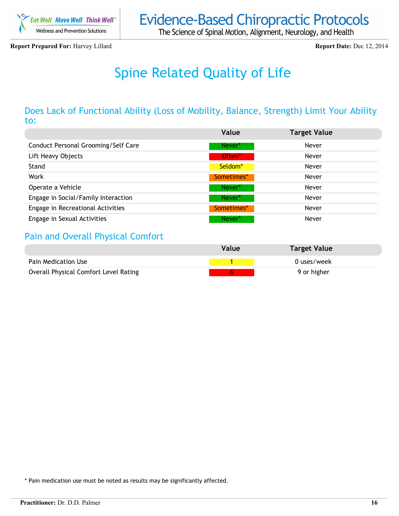

The Science of Spinal Motion, Alignment, Neurology, and Health

**Report Prepared For:** Harvey Lillard **Report Date:** Dec 12, 2014

## Spine Related Quality of Life

#### Does Lack of Functional Ability (Loss of Mobility, Balance, Strength) Limit Your Ability to:

|                                     | Value               | <b>Target Value</b> |
|-------------------------------------|---------------------|---------------------|
| Conduct Personal Grooming/Self Care | Never*              | Never               |
| Lift Heavy Objects                  | Often*              | Never               |
| Stand                               | Seldom <sup>*</sup> | Never               |
| Work                                | Sometimes*          | Never               |
| Operate a Vehicle                   | Never*              | Never               |
| Engage in Social/Family Interaction | Never*              | Never               |
| Engage in Recreational Activities   | Sometimes*          | Never               |
| Engage in Sexual Activities         | Never <sup>*</sup>  | Never               |

#### Pain and Overall Physical Comfort

|                                       | Value | <b>Target Value</b> |
|---------------------------------------|-------|---------------------|
| Pain Medication Use                   |       | 0 uses/week         |
| Overall Physical Comfort Level Rating |       | 9 or higher         |

\* Pain medication use must be noted as results may be significantly affected.